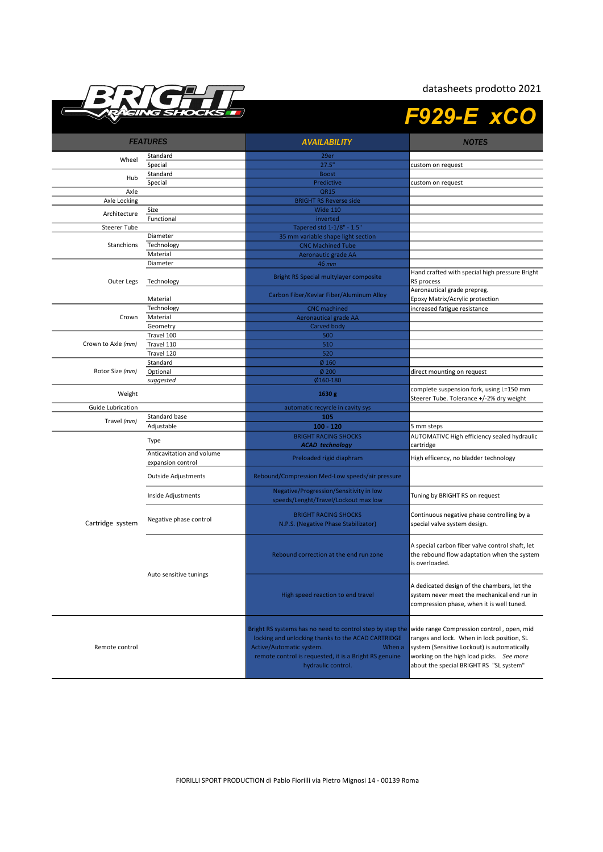

## datasheets prodotto 2021

|                     | NG SHOCK.                 |                                                                                                                                                                                                                                       | <b>F929-E xCO</b>                                                                                                                                                                                                             |
|---------------------|---------------------------|---------------------------------------------------------------------------------------------------------------------------------------------------------------------------------------------------------------------------------------|-------------------------------------------------------------------------------------------------------------------------------------------------------------------------------------------------------------------------------|
| <b>FEATURES</b>     |                           | <b>AVAILABILITY</b>                                                                                                                                                                                                                   | <b>NOTES</b>                                                                                                                                                                                                                  |
|                     | Standard                  | 29er                                                                                                                                                                                                                                  |                                                                                                                                                                                                                               |
| Wheel               | Special                   | 27.5"                                                                                                                                                                                                                                 | custom on request                                                                                                                                                                                                             |
|                     | Standard                  | <b>Boost</b>                                                                                                                                                                                                                          |                                                                                                                                                                                                                               |
| Hub                 | Special                   | Predictive                                                                                                                                                                                                                            | custom on request                                                                                                                                                                                                             |
| Axle                |                           | <b>QR15</b>                                                                                                                                                                                                                           |                                                                                                                                                                                                                               |
| Axle Locking        |                           | <b>BRIGHT RS Reverse side</b>                                                                                                                                                                                                         |                                                                                                                                                                                                                               |
| Architecture        | Size                      | <b>Wide 110</b>                                                                                                                                                                                                                       |                                                                                                                                                                                                                               |
|                     | Functional                | inverted                                                                                                                                                                                                                              |                                                                                                                                                                                                                               |
| <b>Steerer Tube</b> |                           | Tapered std 1-1/8" - 1.5"                                                                                                                                                                                                             |                                                                                                                                                                                                                               |
|                     | Diameter                  | 35 mm variable shape light section                                                                                                                                                                                                    |                                                                                                                                                                                                                               |
| Stanchions          | Technology                | <b>CNC Machined Tube</b>                                                                                                                                                                                                              |                                                                                                                                                                                                                               |
|                     | Material                  | Aeronautic grade AA                                                                                                                                                                                                                   |                                                                                                                                                                                                                               |
|                     | Diameter                  | <b>46 mm</b>                                                                                                                                                                                                                          |                                                                                                                                                                                                                               |
| Outer Legs          | Technology                | Bright RS Special multylayer composite                                                                                                                                                                                                | Hand crafted with special high pressure Bright<br>RS process                                                                                                                                                                  |
|                     | Material                  | Carbon Fiber/Kevlar Fiber/Aluminum Alloy                                                                                                                                                                                              | Aeronautical grade prepreg.<br>Epoxy Matrix/Acrylic protection                                                                                                                                                                |
|                     | Technology                | <b>CNC</b> machined                                                                                                                                                                                                                   | increased fatigue resistance                                                                                                                                                                                                  |
| Crown               | Material                  | <b>Aeronautical grade AA</b>                                                                                                                                                                                                          |                                                                                                                                                                                                                               |
|                     | Geometry                  | Carved body                                                                                                                                                                                                                           |                                                                                                                                                                                                                               |
|                     | Travel 100                | 500                                                                                                                                                                                                                                   |                                                                                                                                                                                                                               |
| Crown to Axle (mm)  | Travel 110                | 510                                                                                                                                                                                                                                   |                                                                                                                                                                                                                               |
|                     | Travel 120                | 520                                                                                                                                                                                                                                   |                                                                                                                                                                                                                               |
|                     | Standard                  | $\phi$ 160                                                                                                                                                                                                                            |                                                                                                                                                                                                                               |
| Rotor Size (mm)     | Optional                  | $\phi$ 200                                                                                                                                                                                                                            | direct mounting on request                                                                                                                                                                                                    |
|                     | suggested                 | Ø160-180                                                                                                                                                                                                                              |                                                                                                                                                                                                                               |
| Weight              |                           | 1630 g                                                                                                                                                                                                                                | complete suspension fork, using L=150 mm<br>Steerer Tube. Tolerance +/-2% dry weight                                                                                                                                          |
| Guide Lubrication   |                           | automatic recyrcle in cavity sys                                                                                                                                                                                                      |                                                                                                                                                                                                                               |
|                     | Standard base             | 105                                                                                                                                                                                                                                   |                                                                                                                                                                                                                               |
| Travel (mm)         | Adjustable                | $100 - 120$                                                                                                                                                                                                                           | 5 mm steps                                                                                                                                                                                                                    |
|                     |                           | <b>BRIGHT RACING SHOCKS</b>                                                                                                                                                                                                           | AUTOMATIVC High efficiency sealed hydraulic                                                                                                                                                                                   |
|                     | Type                      | <b>ACAD</b> technology                                                                                                                                                                                                                | cartridge                                                                                                                                                                                                                     |
|                     | Anticavitation and volume |                                                                                                                                                                                                                                       |                                                                                                                                                                                                                               |
|                     | expansion control         | Preloaded rigid diaphram                                                                                                                                                                                                              | High efficency, no bladder technology                                                                                                                                                                                         |
|                     | Outside Adjustments       | Rebound/Compression Med-Low speeds/air pressure                                                                                                                                                                                       |                                                                                                                                                                                                                               |
|                     | Inside Adjustments        | Negative/Progression/Sensitivity in low                                                                                                                                                                                               | Tuning by BRIGHT RS on request                                                                                                                                                                                                |
|                     |                           | speeds/Lenght/Travel/Lockout max low                                                                                                                                                                                                  |                                                                                                                                                                                                                               |
| Cartridge system    | Negative phase control    | <b>BRIGHT RACING SHOCKS</b><br>N.P.S. (Negative Phase Stabilizator)                                                                                                                                                                   | Continuous negative phase controlling by a<br>special valve system design.                                                                                                                                                    |
|                     | Auto sensitive tunings    | Rebound correction at the end run zone                                                                                                                                                                                                | A special carbon fiber valve control shaft, let<br>the rebound flow adaptation when the system<br>is overloaded.                                                                                                              |
|                     |                           | High speed reaction to end travel                                                                                                                                                                                                     | A dedicated design of the chambers, let the<br>system never meet the mechanical end run in<br>compression phase, when it is well tuned.                                                                                       |
| Remote control      |                           | Bright RS systems has no need to control step by step the<br>locking and unlocking thanks to the ACAD CARTRIDGE<br>Active/Automatic system.<br>When a<br>remote control is requested, it is a Bright RS genuine<br>hydraulic control. | wide range Compression control, open, mid<br>ranges and lock. When in lock position, SL<br>system (Sensitive Lockout) is automatically<br>working on the high load picks. See more<br>about the special BRIGHT RS "SL system" |